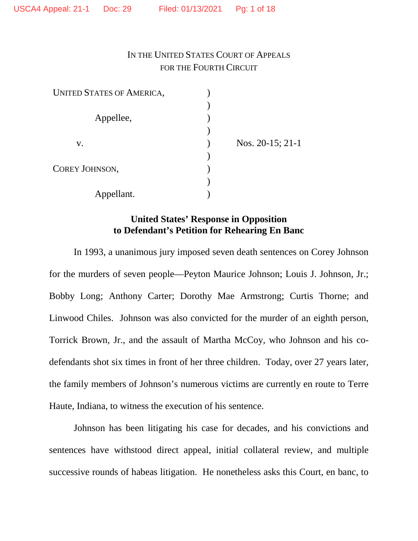# IN THE UNITED STATES COURT OF APPEALS FOR THE FOURTH CIRCUIT

| <b>UNITED STATES OF AMERICA,</b> |                       |
|----------------------------------|-----------------------|
|                                  |                       |
| Appellee,                        |                       |
|                                  |                       |
| V.                               | Nos. $20-15$ ; $21-1$ |
|                                  |                       |
| COREY JOHNSON,                   |                       |
|                                  |                       |
| Appellant.                       |                       |

# **United States' Response in Opposition to Defendant's Petition for Rehearing En Banc**

In 1993, a unanimous jury imposed seven death sentences on Corey Johnson for the murders of seven people—Peyton Maurice Johnson; Louis J. Johnson, Jr.; Bobby Long; Anthony Carter; Dorothy Mae Armstrong; Curtis Thorne; and Linwood Chiles. Johnson was also convicted for the murder of an eighth person, Torrick Brown, Jr., and the assault of Martha McCoy, who Johnson and his codefendants shot six times in front of her three children. Today, over 27 years later, the family members of Johnson's numerous victims are currently en route to Terre Haute, Indiana, to witness the execution of his sentence.

Johnson has been litigating his case for decades, and his convictions and sentences have withstood direct appeal, initial collateral review, and multiple successive rounds of habeas litigation. He nonetheless asks this Court, en banc, to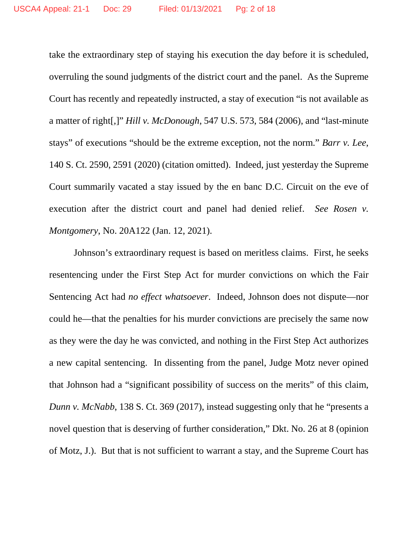take the extraordinary step of staying his execution the day before it is scheduled, overruling the sound judgments of the district court and the panel. As the Supreme Court has recently and repeatedly instructed, a stay of execution "is not available as a matter of right[,]" *Hill v. McDonough*, 547 U.S. 573, 584 (2006), and "last-minute stays" of executions "should be the extreme exception, not the norm." *Barr v. Lee*, 140 S. Ct. 2590, 2591 (2020) (citation omitted). Indeed, just yesterday the Supreme Court summarily vacated a stay issued by the en banc D.C. Circuit on the eve of execution after the district court and panel had denied relief. *See Rosen v. Montgomery*, No. 20A122 (Jan. 12, 2021).

Johnson's extraordinary request is based on meritless claims. First, he seeks resentencing under the First Step Act for murder convictions on which the Fair Sentencing Act had *no effect whatsoever*. Indeed, Johnson does not dispute—nor could he—that the penalties for his murder convictions are precisely the same now as they were the day he was convicted, and nothing in the First Step Act authorizes a new capital sentencing. In dissenting from the panel, Judge Motz never opined that Johnson had a "significant possibility of success on the merits" of this claim, *Dunn v. McNabb*, 138 S. Ct. 369 (2017), instead suggesting only that he "presents a novel question that is deserving of further consideration," Dkt. No. 26 at 8 (opinion of Motz, J.). But that is not sufficient to warrant a stay, and the Supreme Court has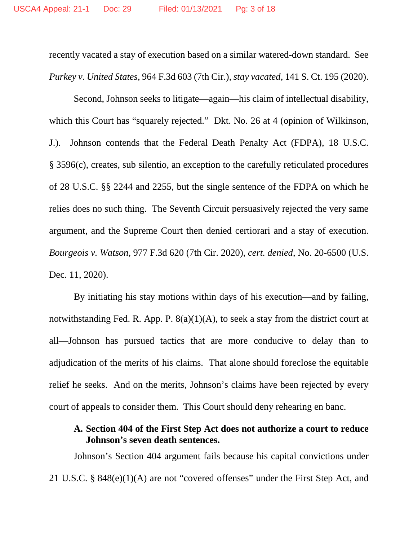recently vacated a stay of execution based on a similar watered-down standard. See *Purkey v. United States*, 964 F.3d 603 (7th Cir.), *stay vacated*, 141 S. Ct. 195 (2020).

Second, Johnson seeks to litigate—again—his claim of intellectual disability, which this Court has "squarely rejected." Dkt. No. 26 at 4 (opinion of Wilkinson, J.). Johnson contends that the Federal Death Penalty Act (FDPA), 18 U.S.C. § 3596(c), creates, sub silentio, an exception to the carefully reticulated procedures of 28 U.S.C. §§ 2244 and 2255, but the single sentence of the FDPA on which he relies does no such thing. The Seventh Circuit persuasively rejected the very same argument, and the Supreme Court then denied certiorari and a stay of execution. *Bourgeois v. Watson*, 977 F.3d 620 (7th Cir. 2020), *cert. denied*, No. 20-6500 (U.S. Dec. 11, 2020).

By initiating his stay motions within days of his execution—and by failing, notwithstanding Fed. R. App. P.  $8(a)(1)(A)$ , to seek a stay from the district court at all—Johnson has pursued tactics that are more conducive to delay than to adjudication of the merits of his claims. That alone should foreclose the equitable relief he seeks. And on the merits, Johnson's claims have been rejected by every court of appeals to consider them. This Court should deny rehearing en banc.

### **A. Section 404 of the First Step Act does not authorize a court to reduce Johnson's seven death sentences.**

Johnson's Section 404 argument fails because his capital convictions under 21 U.S.C. § 848(e)(1)(A) are not "covered offenses" under the First Step Act, and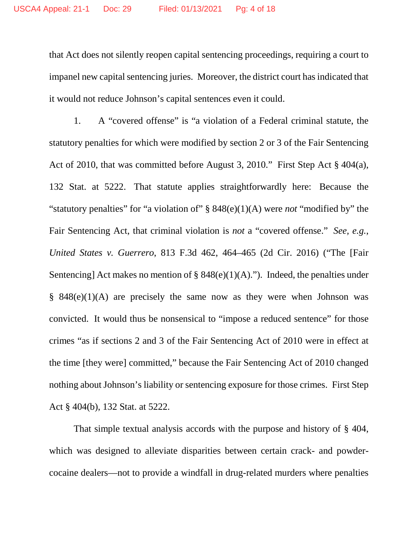that Act does not silently reopen capital sentencing proceedings, requiring a court to impanel new capital sentencing juries. Moreover, the district court has indicated that it would not reduce Johnson's capital sentences even it could.

1. A "covered offense" is "a violation of a Federal criminal statute, the statutory penalties for which were modified by section 2 or 3 of the Fair Sentencing Act of 2010, that was committed before August 3, 2010." First Step Act § 404(a), 132 Stat. at 5222. That statute applies straightforwardly here: Because the "statutory penalties" for "a violation of" § 848(e)(1)(A) were *not* "modified by" the Fair Sentencing Act, that criminal violation is *not* a "covered offense." *See, e.g.*, *United States v. Guerrero*, 813 F.3d 462, 464–465 (2d Cir. 2016) ("The [Fair Sentencing] Act makes no mention of  $\S$  848(e)(1)(A)."). Indeed, the penalties under  $§$  848(e)(1)(A) are precisely the same now as they were when Johnson was convicted. It would thus be nonsensical to "impose a reduced sentence" for those crimes "as if sections 2 and 3 of the Fair Sentencing Act of 2010 were in effect at the time [they were] committed," because the Fair Sentencing Act of 2010 changed nothing about Johnson's liability or sentencing exposure for those crimes. First Step Act § 404(b), 132 Stat. at 5222.

That simple textual analysis accords with the purpose and history of § 404, which was designed to alleviate disparities between certain crack- and powdercocaine dealers—not to provide a windfall in drug-related murders where penalties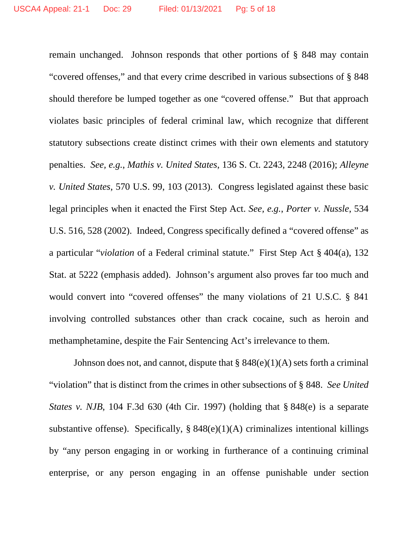remain unchanged. Johnson responds that other portions of § 848 may contain "covered offenses," and that every crime described in various subsections of § 848 should therefore be lumped together as one "covered offense." But that approach violates basic principles of federal criminal law, which recognize that different statutory subsections create distinct crimes with their own elements and statutory penalties. *See, e.g.*, *Mathis v. United States*, 136 S. Ct. 2243, 2248 (2016); *Alleyne v. United States*, 570 U.S. 99, 103 (2013). Congress legislated against these basic legal principles when it enacted the First Step Act. *See, e.g.*, *Porter v. Nussle*, 534 U.S. 516, 528 (2002). Indeed, Congress specifically defined a "covered offense" as a particular "*violation* of a Federal criminal statute." First Step Act § 404(a), 132 Stat. at 5222 (emphasis added). Johnson's argument also proves far too much and would convert into "covered offenses" the many violations of 21 U.S.C. § 841 involving controlled substances other than crack cocaine, such as heroin and methamphetamine, despite the Fair Sentencing Act's irrelevance to them.

Johnson does not, and cannot, dispute that  $\S 848(e)(1)(A)$  sets forth a criminal "violation" that is distinct from the crimes in other subsections of § 848. *See United States v. NJB*, 104 F.3d 630 (4th Cir. 1997) (holding that § 848(e) is a separate substantive offense). Specifically,  $\S 848(e)(1)(A)$  criminalizes intentional killings by "any person engaging in or working in furtherance of a continuing criminal enterprise, or any person engaging in an offense punishable under section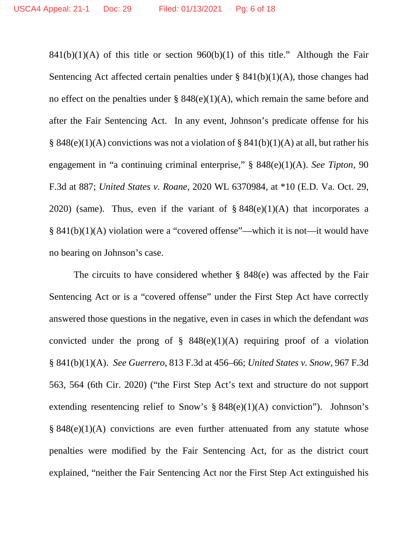$841(b)(1)(A)$  of this title or section  $960(b)(1)$  of this title." Although the Fair Sentencing Act affected certain penalties under  $\S$  841(b)(1)(A), those changes had no effect on the penalties under  $\S$  848(e)(1)(A), which remain the same before and after the Fair Sentencing Act. In any event, Johnson's predicate offense for his § 848(e)(1)(A) convictions was not a violation of § 841(b)(1)(A) at all, but rather his engagement in "a continuing criminal enterprise," § 848(e)(1)(A). *See Tipton*, 90 F.3d at 887; *United States v. Roane*, 2020 WL 6370984, at \*10 (E.D. Va. Oct. 29, 2020) (same). Thus, even if the variant of  $\S$  848(e)(1)(A) that incorporates a § 841(b)(1)(A) violation were a "covered offense"—which it is not—it would have no bearing on Johnson's case.

The circuits to have considered whether § 848(e) was affected by the Fair Sentencing Act or is a "covered offense" under the First Step Act have correctly answered those questions in the negative, even in cases in which the defendant *was* convicted under the prong of  $\S$  848(e)(1)(A) requiring proof of a violation § 841(b)(1)(A). *See Guerrero*, 813 F.3d at 456–66; *United States v. Snow*, 967 F.3d 563, 564 (6th Cir. 2020) ("the First Step Act's text and structure do not support extending resentencing relief to Snow's § 848(e)(1)(A) conviction"). Johnson's  $§ 848(e)(1)(A)$  convictions are even further attenuated from any statute whose penalties were modified by the Fair Sentencing Act, for as the district court explained, "neither the Fair Sentencing Act nor the First Step Act extinguished his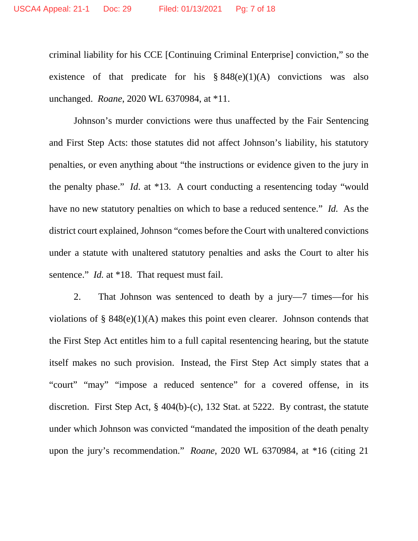criminal liability for his CCE [Continuing Criminal Enterprise] conviction," so the existence of that predicate for his  $§ 848(e)(1)(A)$  convictions was also unchanged. *Roane*, 2020 WL 6370984, at \*11.

Johnson's murder convictions were thus unaffected by the Fair Sentencing and First Step Acts: those statutes did not affect Johnson's liability, his statutory penalties, or even anything about "the instructions or evidence given to the jury in the penalty phase." *Id*. at \*13. A court conducting a resentencing today "would have no new statutory penalties on which to base a reduced sentence." *Id.* As the district court explained, Johnson "comes before the Court with unaltered convictions under a statute with unaltered statutory penalties and asks the Court to alter his sentence." *Id.* at \*18. That request must fail.

2. That Johnson was sentenced to death by a jury—7 times—for his violations of §  $848(e)(1)(A)$  makes this point even clearer. Johnson contends that the First Step Act entitles him to a full capital resentencing hearing, but the statute itself makes no such provision. Instead, the First Step Act simply states that a "court" "may" "impose a reduced sentence" for a covered offense, in its discretion. First Step Act, § 404(b)-(c), 132 Stat. at 5222. By contrast, the statute under which Johnson was convicted "mandated the imposition of the death penalty upon the jury's recommendation." *Roane*, 2020 WL 6370984, at \*16 (citing 21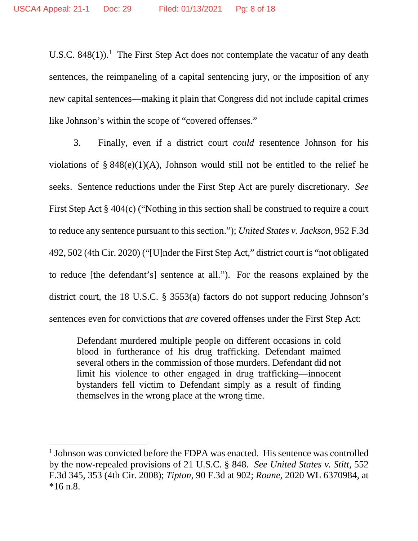U.S.C. 848([1](#page-7-0))).<sup>1</sup> The First Step Act does not contemplate the vacatur of any death sentences, the reimpaneling of a capital sentencing jury, or the imposition of any new capital sentences—making it plain that Congress did not include capital crimes like Johnson's within the scope of "covered offenses."

3. Finally, even if a district court *could* resentence Johnson for his violations of  $\S 848(e)(1)(A)$ , Johnson would still not be entitled to the relief he seeks. Sentence reductions under the First Step Act are purely discretionary. *See* First Step Act § 404(c) ("Nothing in this section shall be construed to require a court to reduce any sentence pursuant to this section."); *United States v. Jackson*, 952 F.3d 492, 502 (4th Cir. 2020) ("[U]nder the First Step Act," district court is "not obligated to reduce [the defendant's] sentence at all."). For the reasons explained by the district court, the 18 U.S.C. § 3553(a) factors do not support reducing Johnson's sentences even for convictions that *are* covered offenses under the First Step Act:

Defendant murdered multiple people on different occasions in cold blood in furtherance of his drug trafficking. Defendant maimed several others in the commission of those murders. Defendant did not limit his violence to other engaged in drug trafficking—innocent bystanders fell victim to Defendant simply as a result of finding themselves in the wrong place at the wrong time.

 $\overline{a}$ 

<span id="page-7-0"></span><sup>&</sup>lt;sup>1</sup> Johnson was convicted before the FDPA was enacted. His sentence was controlled by the now-repealed provisions of 21 U.S.C. § 848. *See United States v. Stitt*, 552 F.3d 345, 353 (4th Cir. 2008); *Tipton*, 90 F.3d at 902; *Roane*, 2020 WL 6370984, at \*16 n.8.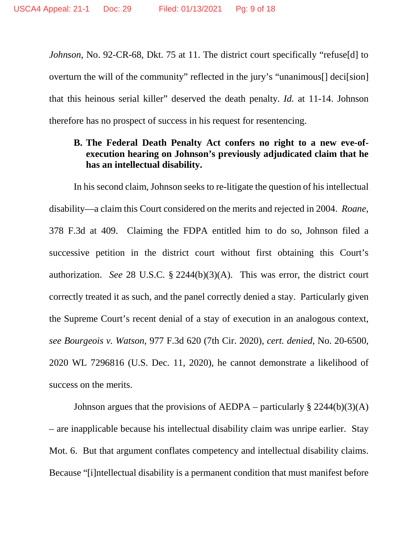*Johnson*, No. 92-CR-68, Dkt. 75 at 11. The district court specifically "refuse[d] to overturn the will of the community" reflected in the jury's "unanimous[] deci[sion] that this heinous serial killer" deserved the death penalty. *Id.* at 11-14. Johnson therefore has no prospect of success in his request for resentencing.

### **B. The Federal Death Penalty Act confers no right to a new eve-ofexecution hearing on Johnson's previously adjudicated claim that he has an intellectual disability.**

In his second claim, Johnson seeks to re-litigate the question of his intellectual disability—a claim this Court considered on the merits and rejected in 2004. *Roane*, 378 F.3d at 409. Claiming the FDPA entitled him to do so, Johnson filed a successive petition in the district court without first obtaining this Court's authorization. *See* 28 U.S.C. § 2244(b)(3)(A). This was error, the district court correctly treated it as such, and the panel correctly denied a stay. Particularly given the Supreme Court's recent denial of a stay of execution in an analogous context, *see Bourgeois v. Watson*, 977 F.3d 620 (7th Cir. 2020), *cert. denied*, No. 20-6500, 2020 WL 7296816 (U.S. Dec. 11, 2020), he cannot demonstrate a likelihood of success on the merits.

Johnson argues that the provisions of AEDPA – particularly  $\S 2244(b)(3)(A)$ – are inapplicable because his intellectual disability claim was unripe earlier. Stay Mot. 6. But that argument conflates competency and intellectual disability claims. Because "[i]ntellectual disability is a permanent condition that must manifest before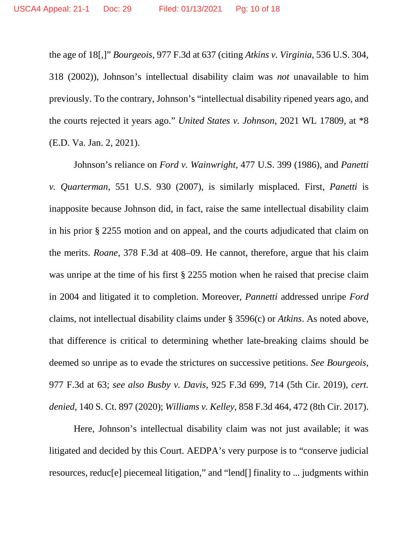the age of 18[,]" *Bourgeois*, 977 F.3d at 637 (citing *Atkins v. Virginia*, 536 U.S. 304, 318 (2002)), Johnson's intellectual disability claim was *not* unavailable to him previously. To the contrary, Johnson's "intellectual disability ripened years ago, and the courts rejected it years ago." *United States v. Johnson*, 2021 WL 17809, at \*8 (E.D. Va. Jan. 2, 2021).

Johnson's reliance on *Ford v. Wainwright*, 477 U.S. 399 (1986), and *Panetti v. Quarterman*, 551 U.S. 930 (2007), is similarly misplaced. First, *Panetti* is inapposite because Johnson did, in fact, raise the same intellectual disability claim in his prior § 2255 motion and on appeal, and the courts adjudicated that claim on the merits. *Roane*, 378 F.3d at 408–09. He cannot, therefore, argue that his claim was unripe at the time of his first § 2255 motion when he raised that precise claim in 2004 and litigated it to completion. Moreover, *Pannetti* addressed unripe *Ford*  claims, not intellectual disability claims under § 3596(c) or *Atkins*. As noted above, that difference is critical to determining whether late-breaking claims should be deemed so unripe as to evade the strictures on successive petitions. *See Bourgeois*, 977 F.3d at 63; *see also Busby v. Davis*, 925 F.3d 699, 714 (5th Cir. 2019), *cert. denied*, 140 S. Ct. 897 (2020); *Williams v. Kelley*, 858 F.3d 464, 472 (8th Cir. 2017).

Here, Johnson's intellectual disability claim was not just available; it was litigated and decided by this Court. AEDPA's very purpose is to "conserve judicial resources, reduc[e] piecemeal litigation," and "lend[] finality to ... judgments within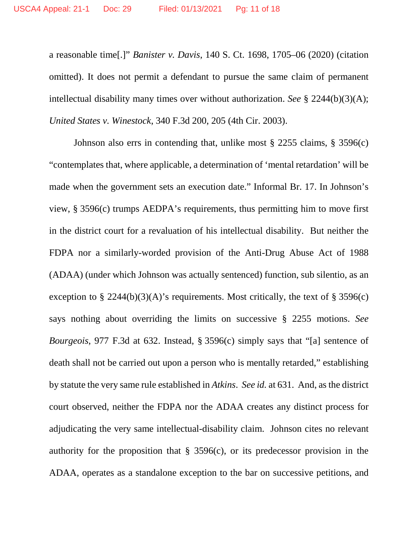a reasonable time[.]" *Banister v. Davis*, 140 S. Ct. 1698, 1705–06 (2020) (citation omitted). It does not permit a defendant to pursue the same claim of permanent intellectual disability many times over without authorization. *See* § 2244(b)(3)(A); *United States v. Winestock*, 340 F.3d 200, 205 (4th Cir. 2003).

Johnson also errs in contending that, unlike most § 2255 claims, § 3596(c) "contemplates that, where applicable, a determination of 'mental retardation' will be made when the government sets an execution date." Informal Br. 17. In Johnson's view, § 3596(c) trumps AEDPA's requirements, thus permitting him to move first in the district court for a revaluation of his intellectual disability. But neither the FDPA nor a similarly-worded provision of the Anti-Drug Abuse Act of 1988 (ADAA) (under which Johnson was actually sentenced) function, sub silentio, as an exception to § 2244(b)(3)(A)'s requirements. Most critically, the text of § 3596(c) says nothing about overriding the limits on successive § 2255 motions. *See Bourgeois*, 977 F.3d at 632. Instead, § 3596(c) simply says that "[a] sentence of death shall not be carried out upon a person who is mentally retarded," establishing by statute the very same rule established in *Atkins*. *See id.* at 631. And, as the district court observed, neither the FDPA nor the ADAA creates any distinct process for adjudicating the very same intellectual-disability claim. Johnson cites no relevant authority for the proposition that  $\S$  3596(c), or its predecessor provision in the ADAA, operates as a standalone exception to the bar on successive petitions, and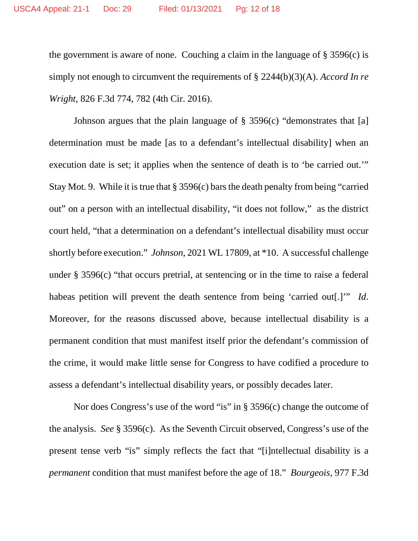the government is aware of none. Couching a claim in the language of  $\S 3596(c)$  is simply not enough to circumvent the requirements of § 2244(b)(3)(A). *Accord In re Wright*, 826 F.3d 774, 782 (4th Cir. 2016).

Johnson argues that the plain language of § 3596(c) "demonstrates that [a] determination must be made [as to a defendant's intellectual disability] when an execution date is set; it applies when the sentence of death is to 'be carried out.'" Stay Mot. 9. While it is true that § 3596(c) bars the death penalty from being "carried out" on a person with an intellectual disability, "it does not follow," as the district court held, "that a determination on a defendant's intellectual disability must occur shortly before execution." *Johnson*, 2021 WL 17809, at \*10. A successful challenge under § 3596(c) "that occurs pretrial, at sentencing or in the time to raise a federal habeas petition will prevent the death sentence from being 'carried out[.]'" *Id*. Moreover, for the reasons discussed above, because intellectual disability is a permanent condition that must manifest itself prior the defendant's commission of the crime, it would make little sense for Congress to have codified a procedure to assess a defendant's intellectual disability years, or possibly decades later.

Nor does Congress's use of the word "is" in § 3596(c) change the outcome of the analysis. *See* § 3596(c). As the Seventh Circuit observed, Congress's use of the present tense verb "is" simply reflects the fact that "[i]ntellectual disability is a *permanent* condition that must manifest before the age of 18." *Bourgeois*, 977 F.3d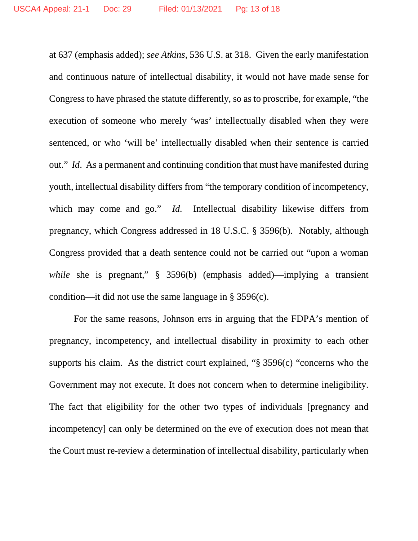at 637 (emphasis added); *see Atkins*, 536 U.S. at 318. Given the early manifestation and continuous nature of intellectual disability, it would not have made sense for Congress to have phrased the statute differently, so as to proscribe, for example, "the execution of someone who merely 'was' intellectually disabled when they were sentenced, or who 'will be' intellectually disabled when their sentence is carried out." *Id*. As a permanent and continuing condition that must have manifested during youth, intellectual disability differs from "the temporary condition of incompetency, which may come and go." *Id.* Intellectual disability likewise differs from pregnancy, which Congress addressed in 18 U.S.C. § 3596(b). Notably, although Congress provided that a death sentence could not be carried out "upon a woman *while* she is pregnant," § 3596(b) (emphasis added)—implying a transient condition—it did not use the same language in § 3596(c).

For the same reasons, Johnson errs in arguing that the FDPA's mention of pregnancy, incompetency, and intellectual disability in proximity to each other supports his claim. As the district court explained, "§ 3596(c) "concerns who the Government may not execute. It does not concern when to determine ineligibility. The fact that eligibility for the other two types of individuals [pregnancy and incompetency] can only be determined on the eve of execution does not mean that the Court must re-review a determination of intellectual disability, particularly when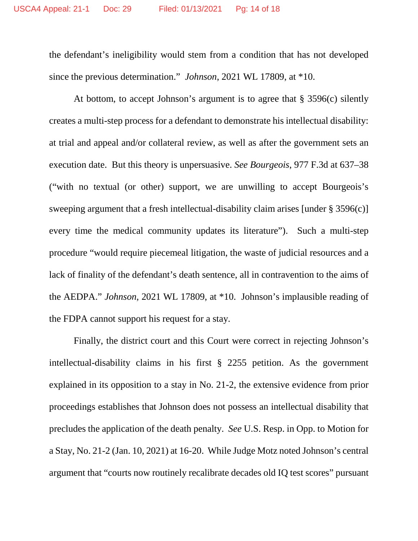the defendant's ineligibility would stem from a condition that has not developed since the previous determination." *Johnson*, 2021 WL 17809, at \*10.

At bottom, to accept Johnson's argument is to agree that § 3596(c) silently creates a multi-step process for a defendant to demonstrate his intellectual disability: at trial and appeal and/or collateral review, as well as after the government sets an execution date. But this theory is unpersuasive. *See Bourgeois*, 977 F.3d at 637–38 ("with no textual (or other) support, we are unwilling to accept Bourgeois's sweeping argument that a fresh intellectual-disability claim arises [under § 3596(c)] every time the medical community updates its literature"). Such a multi-step procedure "would require piecemeal litigation, the waste of judicial resources and a lack of finality of the defendant's death sentence, all in contravention to the aims of the AEDPA." *Johnson*, 2021 WL 17809, at \*10. Johnson's implausible reading of the FDPA cannot support his request for a stay.

Finally, the district court and this Court were correct in rejecting Johnson's intellectual-disability claims in his first § 2255 petition. As the government explained in its opposition to a stay in No. 21-2, the extensive evidence from prior proceedings establishes that Johnson does not possess an intellectual disability that precludes the application of the death penalty. *See* U.S. Resp. in Opp. to Motion for a Stay, No. 21-2 (Jan. 10, 2021) at 16-20. While Judge Motz noted Johnson's central argument that "courts now routinely recalibrate decades old IQ test scores" pursuant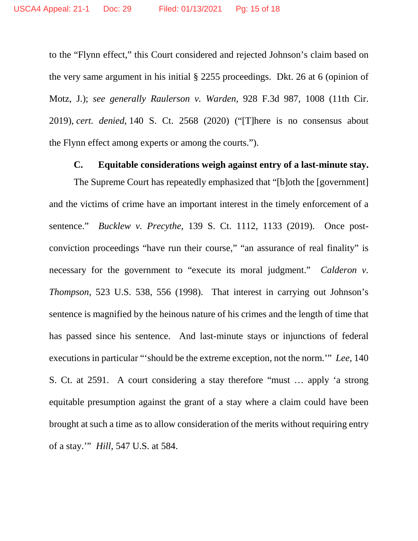to the "Flynn effect," this Court considered and rejected Johnson's claim based on the very same argument in his initial § 2255 proceedings. Dkt. 26 at 6 (opinion of Motz, J.); *see generally Raulerson v. Warden*, 928 F.3d 987, 1008 (11th Cir. 2019), *cert. denied*, 140 S. Ct. 2568 (2020) ("[T]here is no consensus about the Flynn effect among experts or among the courts.").

#### **C. Equitable considerations weigh against entry of a last-minute stay.**

The Supreme Court has repeatedly emphasized that "[b]oth the [government] and the victims of crime have an important interest in the timely enforcement of a sentence." *Bucklew v. Precythe*, 139 S. Ct. 1112, 1133 (2019). Once postconviction proceedings "have run their course," "an assurance of real finality" is necessary for the government to "execute its moral judgment." *Calderon v. Thompson*, 523 U.S. 538, 556 (1998). That interest in carrying out Johnson's sentence is magnified by the heinous nature of his crimes and the length of time that has passed since his sentence. And last-minute stays or injunctions of federal executions in particular "'should be the extreme exception, not the norm.'" *Lee*, 140 S. Ct. at 2591. A court considering a stay therefore "must … apply 'a strong equitable presumption against the grant of a stay where a claim could have been brought at such a time as to allow consideration of the merits without requiring entry of a stay.'" *Hill*, 547 U.S. at 584.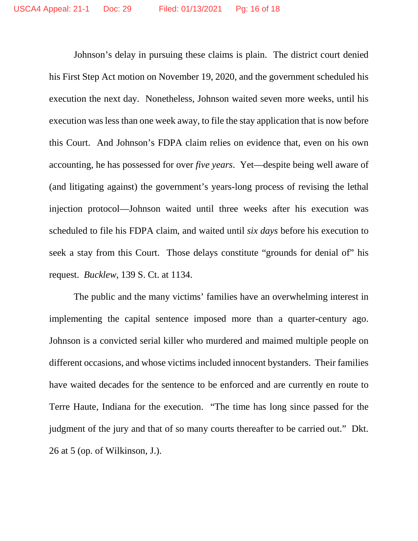Johnson's delay in pursuing these claims is plain. The district court denied his First Step Act motion on November 19, 2020, and the government scheduled his execution the next day. Nonetheless, Johnson waited seven more weeks, until his execution was less than one week away, to file the stay application that is now before this Court. And Johnson's FDPA claim relies on evidence that, even on his own accounting, he has possessed for over *five years*. Yet—despite being well aware of (and litigating against) the government's years-long process of revising the lethal injection protocol—Johnson waited until three weeks after his execution was scheduled to file his FDPA claim, and waited until *six days* before his execution to seek a stay from this Court. Those delays constitute "grounds for denial of" his request. *Bucklew*, 139 S. Ct. at 1134.

The public and the many victims' families have an overwhelming interest in implementing the capital sentence imposed more than a quarter-century ago. Johnson is a convicted serial killer who murdered and maimed multiple people on different occasions, and whose victims included innocent bystanders. Their families have waited decades for the sentence to be enforced and are currently en route to Terre Haute, Indiana for the execution. "The time has long since passed for the judgment of the jury and that of so many courts thereafter to be carried out." Dkt. 26 at 5 (op. of Wilkinson, J.).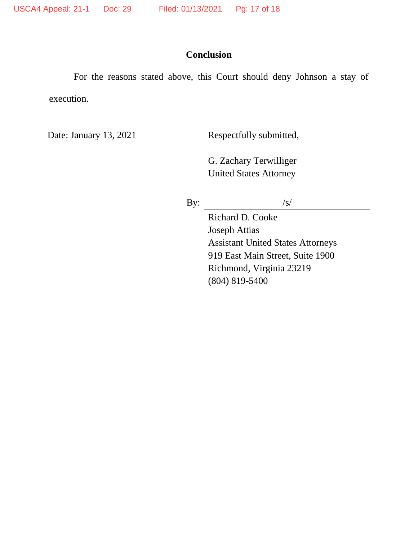# **Conclusion**

For the reasons stated above, this Court should deny Johnson a stay of execution.

Date: January 13, 2021 Respectfully submitted,

G. Zachary Terwilliger United States Attorney

By:  $/s/$ 

Richard D. Cooke Joseph Attias Assistant United States Attorneys 919 East Main Street, Suite 1900 Richmond, Virginia 23219 (804) 819-5400